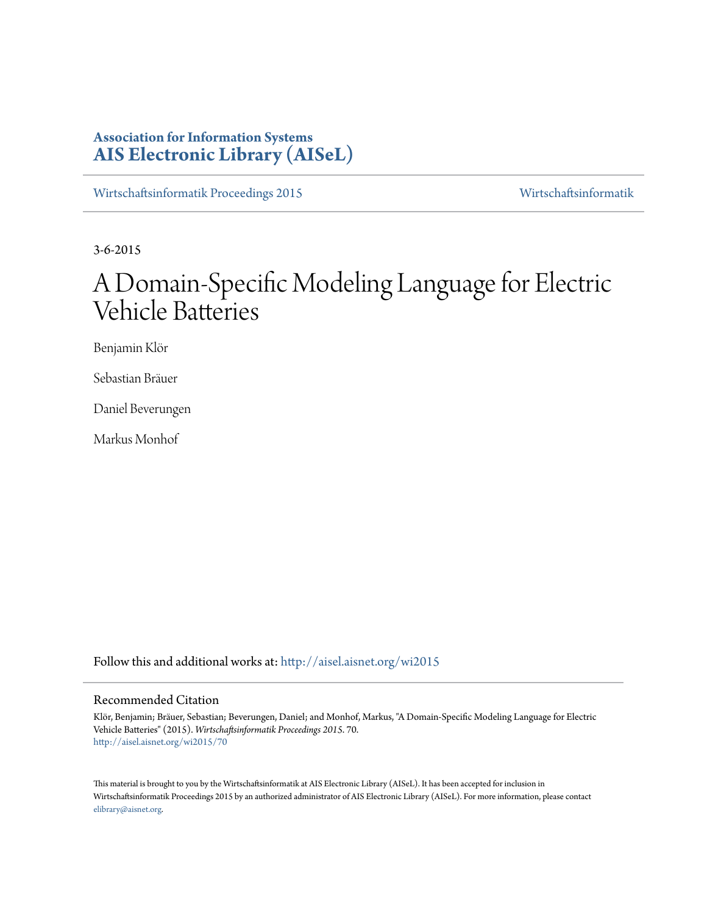# **Association for Information Systems [AIS Electronic Library \(AISeL\)](http://aisel.aisnet.org?utm_source=aisel.aisnet.org%2Fwi2015%2F70&utm_medium=PDF&utm_campaign=PDFCoverPages)**

[Wirtschaftsinformatik Proceedings 2015](http://aisel.aisnet.org/wi2015?utm_source=aisel.aisnet.org%2Fwi2015%2F70&utm_medium=PDF&utm_campaign=PDFCoverPages) [Wirtschaftsinformatik](http://aisel.aisnet.org/wi?utm_source=aisel.aisnet.org%2Fwi2015%2F70&utm_medium=PDF&utm_campaign=PDFCoverPages)

3-6-2015

# A Domain-Specific Modeling Language for Electric Vehicle Batteries

Benjamin Klör

Sebastian Bräuer

Daniel Beverungen

Markus Monhof

Follow this and additional works at: [http://aisel.aisnet.org/wi2015](http://aisel.aisnet.org/wi2015?utm_source=aisel.aisnet.org%2Fwi2015%2F70&utm_medium=PDF&utm_campaign=PDFCoverPages)

#### Recommended Citation

Klör, Benjamin; Bräuer, Sebastian; Beverungen, Daniel; and Monhof, Markus, "A Domain-Specific Modeling Language for Electric Vehicle Batteries" (2015). *Wirtschaftsinformatik Proceedings 2015*. 70. [http://aisel.aisnet.org/wi2015/70](http://aisel.aisnet.org/wi2015/70?utm_source=aisel.aisnet.org%2Fwi2015%2F70&utm_medium=PDF&utm_campaign=PDFCoverPages)

This material is brought to you by the Wirtschaftsinformatik at AIS Electronic Library (AISeL). It has been accepted for inclusion in Wirtschaftsinformatik Proceedings 2015 by an authorized administrator of AIS Electronic Library (AISeL). For more information, please contact [elibrary@aisnet.org.](mailto:elibrary@aisnet.org%3E)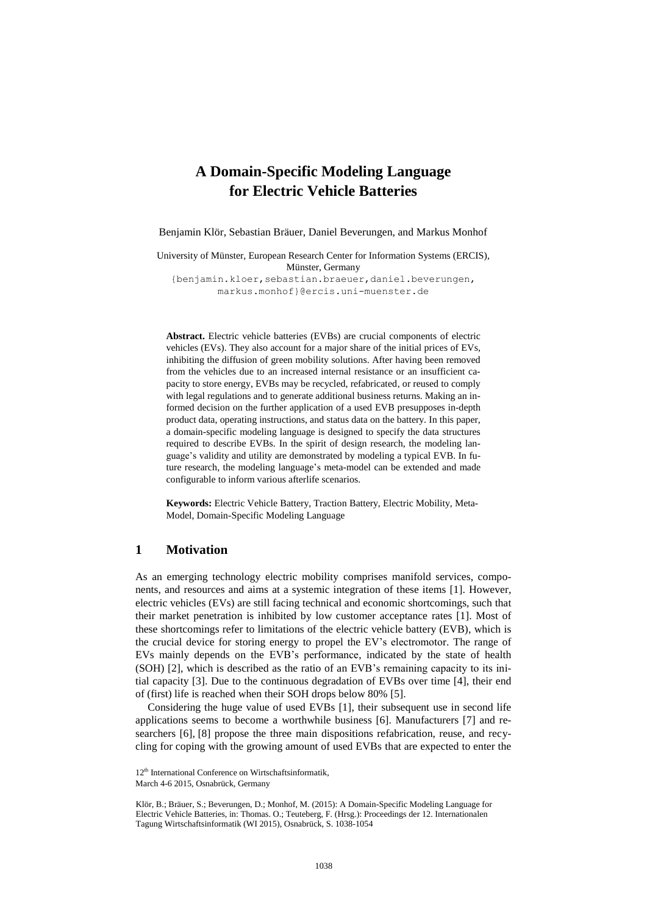# **A Domain-Specific Modeling Language for Electric Vehicle Batteries**

Benjamin Klör, Sebastian Bräuer, Daniel Beverungen, and Markus Monhof

University of Münster, European Research Center for Information Systems (ERCIS), Münster, Germany

[{benjamin.kloer](mailto:benjamin.kloer@ercis.uni-muenster.de)[,sebastian.braeuer,](mailto:sebastian.braeuer@ercis.uni-muenster.de)[daniel.beverungen,](mailto:daniel.beverungen@ercis.uni-muenster.de) [markus.monhof}](mailto:markus.monhof@ercis.uni-muenster.de)@ercis.uni-muenster.de

**Abstract.** Electric vehicle batteries (EVBs) are crucial components of electric vehicles (EVs). They also account for a major share of the initial prices of EVs, inhibiting the diffusion of green mobility solutions. After having been removed from the vehicles due to an increased internal resistance or an insufficient capacity to store energy, EVBs may be recycled, refabricated, or reused to comply with legal regulations and to generate additional business returns. Making an informed decision on the further application of a used EVB presupposes in-depth product data, operating instructions, and status data on the battery. In this paper, a domain-specific modeling language is designed to specify the data structures required to describe EVBs. In the spirit of design research, the modeling language's validity and utility are demonstrated by modeling a typical EVB. In future research, the modeling language's meta-model can be extended and made configurable to inform various afterlife scenarios.

**Keywords:** Electric Vehicle Battery, Traction Battery, Electric Mobility, Meta-Model, Domain-Specific Modeling Language

## **1 Motivation**

As an emerging technology electric mobility comprises manifold services, components, and resources and aims at a systemic integration of these items [1]. However, electric vehicles (EVs) are still facing technical and economic shortcomings, such that their market penetration is inhibited by low customer acceptance rates [1]. Most of these shortcomings refer to limitations of the electric vehicle battery (EVB), which is the crucial device for storing energy to propel the EV's electromotor. The range of EVs mainly depends on the EVB's performance, indicated by the state of health (SOH) [2], which is described as the ratio of an EVB's remaining capacity to its initial capacity [3]. Due to the continuous degradation of EVBs over time [4], their end of (first) life is reached when their SOH drops below 80% [5].

Considering the huge value of used EVBs [1], their subsequent use in second life applications seems to become a worthwhile business [6]. Manufacturers [7] and researchers [6], [8] propose the three main dispositions refabrication, reuse, and recycling for coping with the growing amount of used EVBs that are expected to enter the

<sup>12&</sup>lt;sup>th</sup> International Conference on Wirtschaftsinformatik,

March 4-6 2015, Osnabrück, Germany

Klör, B.; Bräuer, S.; Beverungen, D.; Monhof, M. (2015): A Domain-Specific Modeling Language for Electric Vehicle Batteries, in: Thomas. O.; Teuteberg, F. (Hrsg.): Proceedings der 12. Internationalen Tagung Wirtschaftsinformatik (WI 2015), Osnabrück, S. 1038-1054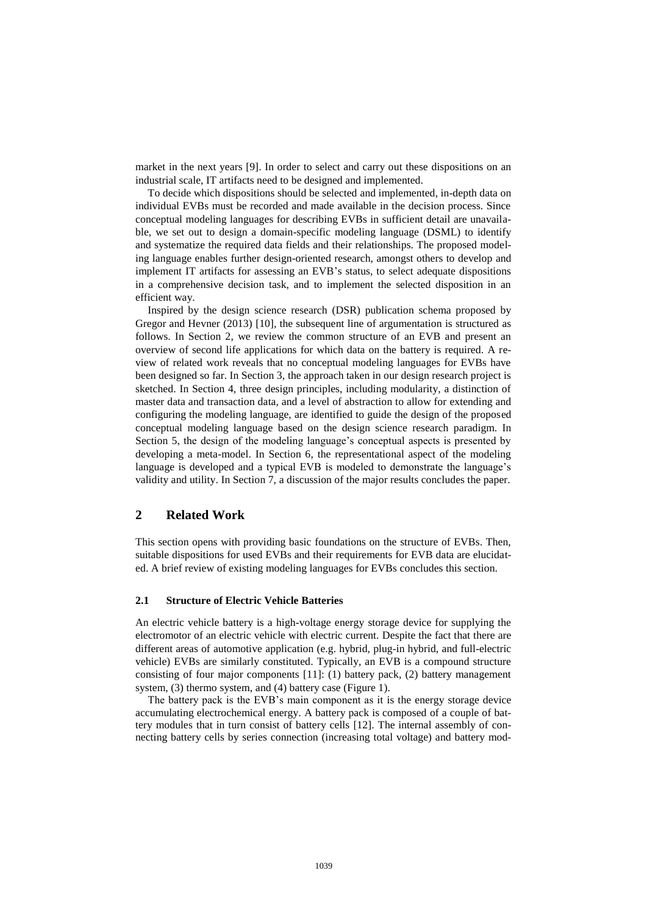market in the next years [9]. In order to select and carry out these dispositions on an industrial scale, IT artifacts need to be designed and implemented.

To decide which dispositions should be selected and implemented, in-depth data on individual EVBs must be recorded and made available in the decision process. Since conceptual modeling languages for describing EVBs in sufficient detail are unavailable, we set out to design a domain-specific modeling language (DSML) to identify and systematize the required data fields and their relationships. The proposed modeling language enables further design-oriented research, amongst others to develop and implement IT artifacts for assessing an EVB's status, to select adequate dispositions in a comprehensive decision task, and to implement the selected disposition in an efficient way.

Inspired by the design science research (DSR) publication schema proposed by Gregor and Hevner (2013) [10], the subsequent line of argumentation is structured as follows. In Section 2, we review the common structure of an EVB and present an overview of second life applications for which data on the battery is required. A review of related work reveals that no conceptual modeling languages for EVBs have been designed so far. In Section 3, the approach taken in our design research project is sketched. In Section 4, three design principles, including modularity, a distinction of master data and transaction data, and a level of abstraction to allow for extending and configuring the modeling language, are identified to guide the design of the proposed conceptual modeling language based on the design science research paradigm. In Section 5, the design of the modeling language's conceptual aspects is presented by developing a meta-model. In Section 6, the representational aspect of the modeling language is developed and a typical EVB is modeled to demonstrate the language's validity and utility. In Section 7, a discussion of the major results concludes the paper.

# **2 Related Work**

This section opens with providing basic foundations on the structure of EVBs. Then, suitable dispositions for used EVBs and their requirements for EVB data are elucidated. A brief review of existing modeling languages for EVBs concludes this section.

#### **2.1 Structure of Electric Vehicle Batteries**

An electric vehicle battery is a high-voltage energy storage device for supplying the electromotor of an electric vehicle with electric current. Despite the fact that there are different areas of automotive application (e.g. hybrid, plug-in hybrid, and full-electric vehicle) EVBs are similarly constituted. Typically, an EVB is a compound structure consisting of four major components [11]: (1) battery pack, (2) battery management system, (3) thermo system, and (4) battery case (Figure 1).

The battery pack is the EVB's main component as it is the energy storage device accumulating electrochemical energy. A battery pack is composed of a couple of battery modules that in turn consist of battery cells [12]. The internal assembly of connecting battery cells by series connection (increasing total voltage) and battery mod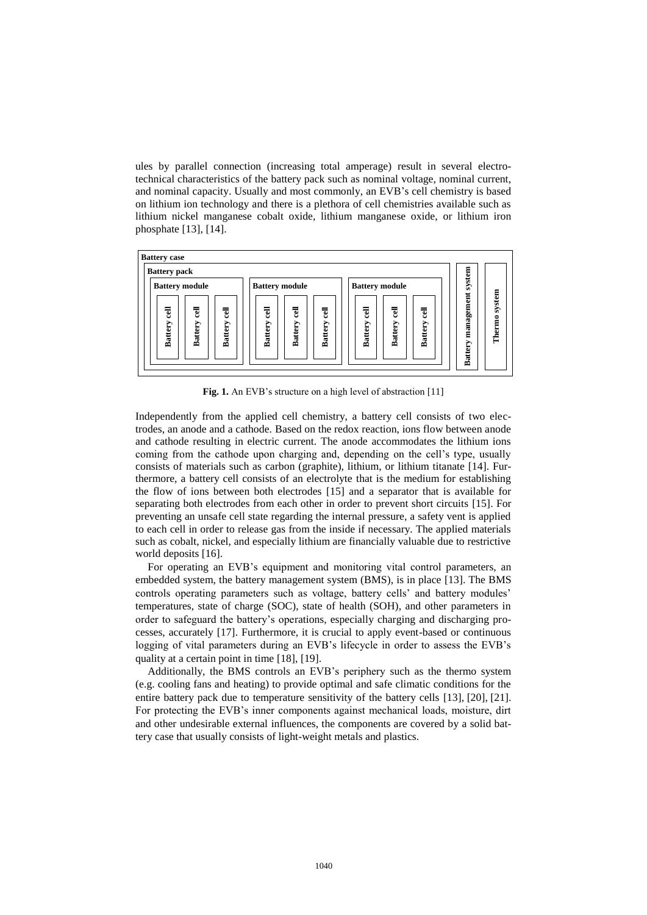ules by parallel connection (increasing total amperage) result in several [electro](http://www.dict.cc/englisch-deutsch/electrotechnical.html)[technical](http://www.dict.cc/englisch-deutsch/electrotechnical.html) characteristics of the battery pack such as nominal voltage, nominal current, and nominal capacity. Usually and most commonly, an EVB's cell chemistry is based on lithium ion technology and there is a plethora of cell chemistries available such as lithium nickel manganese cobalt oxide, lithium manganese oxide, or lithium iron phosphate [13], [14].



**Fig. 1.** An EVB's structure on a high level of abstraction [11]

Independently from the applied cell chemistry, a battery cell consists of two electrodes, an anode and a cathode. Based on the redox reaction, ions flow between anode and cathode resulting in electric current. The anode accommodates the lithium ions coming from the cathode upon charging and, depending on the cell's type, usually consists of materials such as carbon (graphite), lithium, or lithium titanate [14]. Furthermore, a battery cell consists of an electrolyte that is the medium for establishing the flow of ions between both electrodes [15] and a separator that is available for separating both electrodes from each other in order to prevent short circuits [15]. For preventing an unsafe cell state regarding the internal pressure, a safety vent is applied to each cell in order to release gas from the inside if necessary. The applied materials such as cobalt, nickel, and especially lithium are financially valuable due to restrictive world deposits [16].

For operating an EVB's equipment and monitoring vital control parameters, an embedded system, the battery management system (BMS), is in place [13]. The BMS controls operating parameters such as voltage, battery cells' and battery modules' temperatures, state of charge (SOC), state of health (SOH), and other parameters in order to safeguard the battery's operations, especially charging and discharging processes, accurately [17]. Furthermore, it is crucial to apply event-based or continuous logging of vital parameters during an EVB's lifecycle in order to assess the EVB's quality at a certain point in time [18], [19].

Additionally, the BMS controls an EVB's periphery such as the thermo system (e.g. cooling fans and heating) to provide optimal and safe climatic conditions for the entire battery pack due to temperature sensitivity of the battery cells [13], [20], [21]. For protecting the EVB's inner components against mechanical loads, moisture, dirt and other undesirable external influences, the components are covered by a solid battery case that usually consists of light-weight metals and plastics.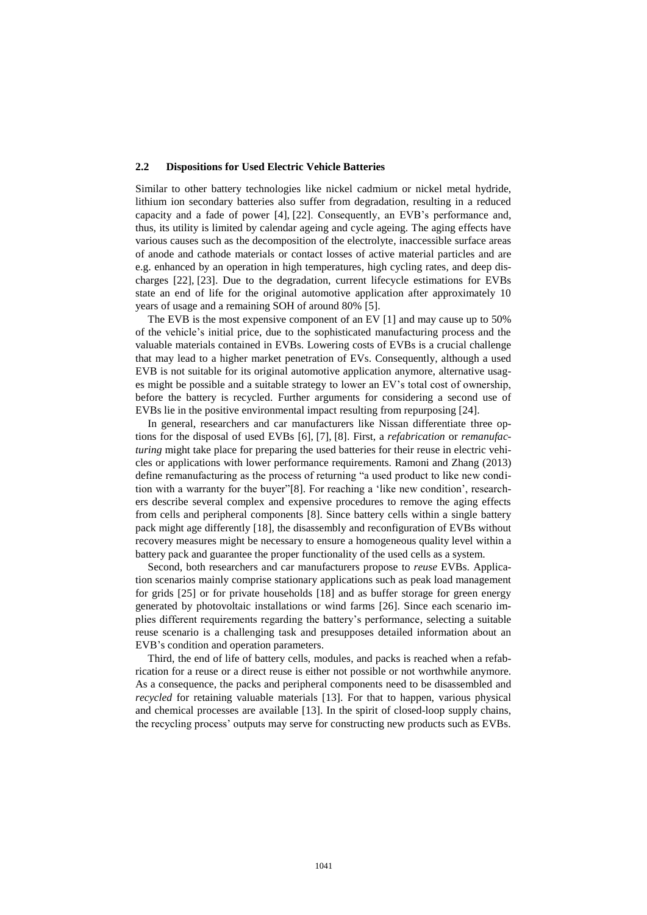#### **2.2 Dispositions for Used Electric Vehicle Batteries**

Similar to other battery technologies like nickel cadmium or nickel metal hydride, lithium ion secondary batteries also suffer from degradation, resulting in a reduced capacity and a fade of power [4], [22]. Consequently, an EVB's performance and, thus, its utility is limited by calendar ageing and cycle ageing. The aging effects have various causes such as the decomposition of the electrolyte, inaccessible surface areas of anode and cathode materials or contact losses of active material particles and are e.g. enhanced by an operation in high temperatures, high cycling rates, and deep discharges [22], [23]. Due to the degradation, current lifecycle estimations for EVBs state an end of life for the original automotive application after approximately 10 years of usage and a remaining SOH of around 80% [5].

The EVB is the most expensive component of an EV [1] and may cause up to 50% of the vehicle's initial price, due to the sophisticated manufacturing process and the valuable materials contained in EVBs. Lowering costs of EVBs is a crucial challenge that may lead to a higher market penetration of EVs. Consequently, although a used EVB is not suitable for its original automotive application anymore, alternative usages might be possible and a suitable strategy to lower an EV's total cost of ownership, before the battery is recycled. Further arguments for considering a second use of EVBs lie in the positive environmental impact resulting from repurposing [24].

In general, researchers and car manufacturers like Nissan differentiate three options for the disposal of used EVBs [6], [7], [8]. First, a *refabrication* or *remanufacturing* might take place for preparing the used batteries for their reuse in electric vehicles or applications with lower performance requirements. Ramoni and Zhang (2013) define remanufacturing as the process of returning "a used product to like new condition with a warranty for the buyer"[8]. For reaching a 'like new condition', researchers describe several complex and expensive procedures to remove the aging effects from cells and peripheral components [8]. Since battery cells within a single battery pack might age differently [18], the disassembly and reconfiguration of EVBs without recovery measures might be necessary to ensure a homogeneous quality level within a battery pack and guarantee the proper functionality of the used cells as a system.

Second, both researchers and car manufacturers propose to *reuse* EVBs. Application scenarios mainly comprise stationary applications such as peak load management for grids [25] or for private households [18] and as buffer storage for green energy generated by photovoltaic installations or wind farms [26]. Since each scenario implies different requirements regarding the battery's performance, selecting a suitable reuse scenario is a challenging task and presupposes detailed information about an EVB's condition and operation parameters.

Third, the end of life of battery cells, modules, and packs is reached when a refabrication for a reuse or a direct reuse is either not possible or not worthwhile anymore. As a consequence, the packs and peripheral components need to be disassembled and *recycled* for retaining valuable materials [13]. For that to happen, various physical and chemical processes are available [13]. In the spirit of closed-loop supply chains, the recycling process' outputs may serve for constructing new products such as EVBs.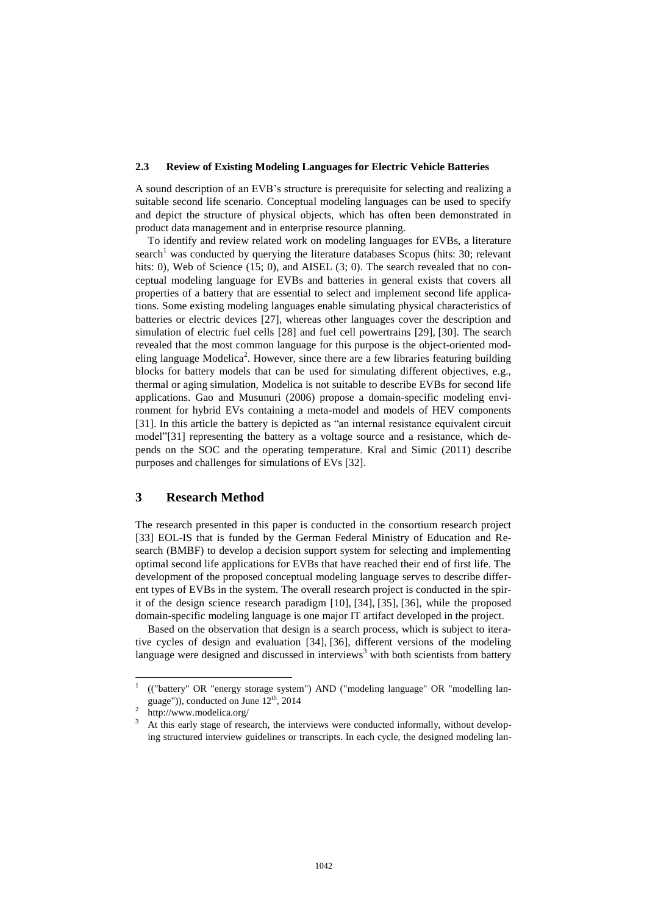#### **2.3 Review of Existing Modeling Languages for Electric Vehicle Batteries**

A sound description of an EVB's structure is prerequisite for selecting and realizing a suitable second life scenario. Conceptual modeling languages can be used to specify and depict the structure of physical objects, which has often been demonstrated in product data management and in enterprise resource planning.

To identify and review related work on modeling languages for EVBs, a literature search<sup>1</sup> was conducted by querying the literature databases Scopus (hits: 30; relevant hits: 0), Web of Science (15; 0), and AISEL (3; 0). The search revealed that no conceptual modeling language for EVBs and batteries in general exists that covers all properties of a battery that are essential to select and implement second life applications. Some existing modeling languages enable simulating physical characteristics of batteries or electric devices [27], whereas other languages cover the description and simulation of electric fuel cells [28] and fuel cell powertrains [29], [30]. The search revealed that the most common language for this purpose is the object-oriented modeling language Modelica<sup>2</sup>. However, since there are a few libraries featuring building blocks for battery models that can be used for simulating different objectives, e.g., thermal or aging simulation, Modelica is not suitable to describe EVBs for second life applications. Gao and Musunuri (2006) propose a domain-specific modeling environment for hybrid EVs containing a meta-model and models of HEV components [31]. In this article the battery is depicted as "an internal resistance equivalent circuit model"[31] representing the battery as a voltage source and a resistance, which depends on the SOC and the operating temperature. Kral and Simic (2011) describe purposes and challenges for simulations of EVs [32].

# **3 Research Method**

The research presented in this paper is conducted in the consortium research project [33] EOL-IS that is funded by the German Federal Ministry of Education and Research (BMBF) to develop a decision support system for selecting and implementing optimal second life applications for EVBs that have reached their end of first life. The development of the proposed conceptual modeling language serves to describe different types of EVBs in the system. The overall research project is conducted in the spirit of the design science research paradigm [10], [34], [35], [36], while the proposed domain-specific modeling language is one major IT artifact developed in the project.

Based on the observation that design is a search process, which is subject to iterative cycles of design and evaluation [34], [36], different versions of the modeling language were designed and discussed in interviews<sup>3</sup> with both scientists from battery

 $\overline{\phantom{a}}$ 

<sup>1</sup> (("battery" OR "energy storage system") AND ("modeling language" OR "modelling language")), conducted on June 12th, 2014

<sup>2</sup> <http://www.modelica.org/>

<sup>&</sup>lt;sup>3</sup> At this early stage of research, the interviews were conducted informally, without developing structured interview guidelines or transcripts. In each cycle, the designed modeling lan-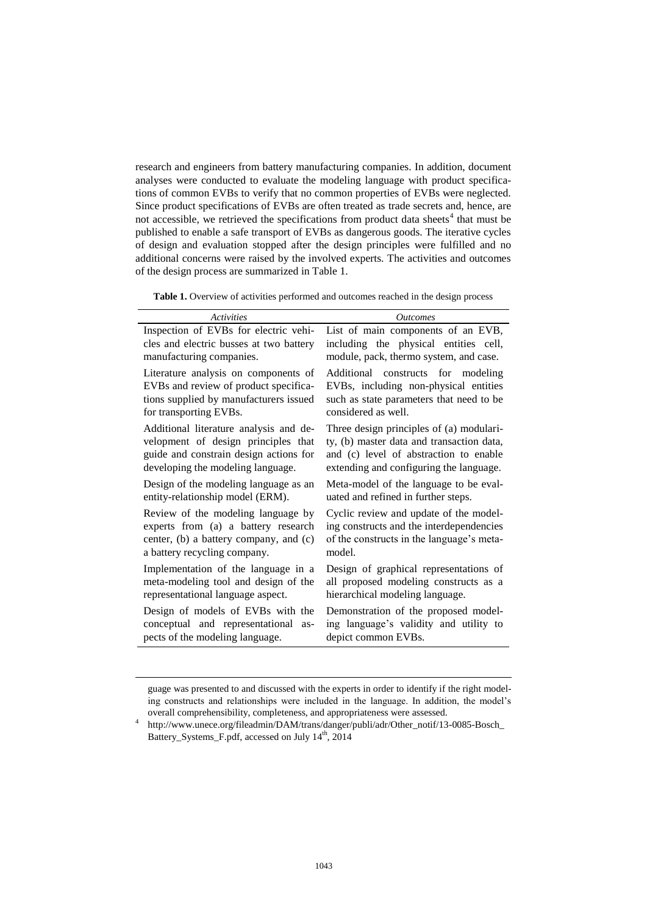research and engineers from battery manufacturing companies. In addition, document analyses were conducted to evaluate the modeling language with product specifications of common EVBs to verify that no common properties of EVBs were neglected. Since product specifications of EVBs are often treated as trade secrets and, hence, are not accessible, we retrieved the specifications from product data sheets<sup>4</sup> that must be published to enable a safe transport of EVBs as dangerous goods. The iterative cycles of design and evaluation stopped after the design principles were fulfilled and no additional concerns were raised by the involved experts. The activities and outcomes of the design process are summarized in Table 1.

Table 1. Overview of activities performed and outcomes reached in the design process

| <b>Activities</b>                       | <b>Outcomes</b>                           |
|-----------------------------------------|-------------------------------------------|
| Inspection of EVBs for electric vehi-   | List of main components of an EVB,        |
| cles and electric busses at two battery | including the physical entities cell,     |
| manufacturing companies.                | module, pack, thermo system, and case.    |
| Literature analysis on components of    | Additional constructs for modeling        |
| EVBs and review of product specifica-   | EVBs, including non-physical entities     |
| tions supplied by manufacturers issued  | such as state parameters that need to be  |
| for transporting EVBs.                  | considered as well.                       |
| Additional literature analysis and de-  | Three design principles of (a) modulari-  |
| velopment of design principles that     | ty, (b) master data and transaction data, |
| guide and constrain design actions for  | and (c) level of abstraction to enable    |
| developing the modeling language.       | extending and configuring the language.   |
| Design of the modeling language as an   | Meta-model of the language to be eval-    |
| entity-relationship model (ERM).        | uated and refined in further steps.       |
| Review of the modeling language by      | Cyclic review and update of the model-    |
| experts from (a) a battery research     | ing constructs and the interdependencies  |
| center, (b) a battery company, and (c)  | of the constructs in the language's meta- |
| a battery recycling company.            | model.                                    |
| Implementation of the language in a     | Design of graphical representations of    |
| meta-modeling tool and design of the    | all proposed modeling constructs as a     |
| representational language aspect.       | hierarchical modeling language.           |
| Design of models of EVBs with the       | Demonstration of the proposed model-      |
| conceptual and representational as-     | ing language's validity and utility to    |
| pects of the modeling language.         | depict common EVBs.                       |

guage was presented to and discussed with the experts in order to identify if the right modeling constructs and relationships were included in the language. In addition, the model's overall comprehensibility, completeness, and appropriateness were assessed.

 $\overline{\phantom{a}}$ 

<sup>4</sup> [http://www.unece.org/fileadmin/DAM/trans/danger/publi/adr/Other\\_notif/13-0085-Bosch\\_](http://www.unece.org/fileadmin/DAM/trans/danger/publi/adr/Other_notif/13-0085-Bosch_Battery_Systems_F.pdf) [Battery\\_Systems\\_F.pdf,](http://www.unece.org/fileadmin/DAM/trans/danger/publi/adr/Other_notif/13-0085-Bosch_Battery_Systems_F.pdf) accessed on July 14<sup>th</sup>, 2014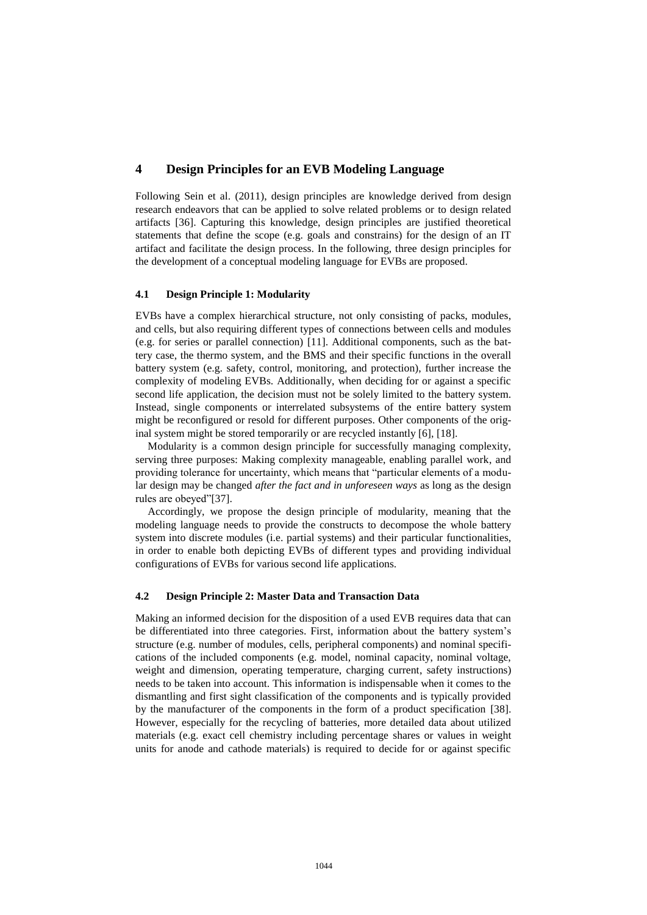# **4 Design Principles for an EVB Modeling Language**

Following Sein et al. (2011), design principles are knowledge derived from design research endeavors that can be applied to solve related problems or to design related artifacts [36]. Capturing this knowledge, design principles are justified theoretical statements that define the scope (e.g. goals and constrains) for the design of an IT artifact and facilitate the design process. In the following, three design principles for the development of a conceptual modeling language for EVBs are proposed.

#### **4.1 Design Principle 1: Modularity**

EVBs have a complex hierarchical structure, not only consisting of packs, modules, and cells, but also requiring different types of connections between cells and modules (e.g. for series or parallel connection) [11]. Additional components, such as the battery case, the thermo system, and the BMS and their specific functions in the overall battery system (e.g. safety, control, monitoring, and protection), further increase the complexity of modeling EVBs. Additionally, when deciding for or against a specific second life application, the decision must not be solely limited to the battery system. Instead, single components or interrelated subsystems of the entire battery system might be reconfigured or resold for different purposes. Other components of the original system might be stored temporarily or are recycled instantly [6], [18].

Modularity is a common design principle for successfully managing complexity, serving three purposes: Making complexity manageable, enabling parallel work, and providing tolerance for uncertainty, which means that "particular elements of a modular design may be changed *after the fact and in unforeseen ways* as long as the design rules are obeyed"[37].

Accordingly, we propose the design principle of modularity, meaning that the modeling language needs to provide the constructs to decompose the whole battery system into discrete modules (i.e. partial systems) and their particular functionalities, in order to enable both depicting EVBs of different types and providing individual configurations of EVBs for various second life applications.

#### **4.2 Design Principle 2: Master Data and Transaction Data**

Making an informed decision for the disposition of a used EVB requires data that can be differentiated into three categories. First, information about the battery system's structure (e.g. number of modules, cells, peripheral components) and nominal specifications of the included components (e.g. model, nominal capacity, nominal voltage, weight and dimension, operating temperature, charging current, safety instructions) needs to be taken into account. This information is indispensable when it comes to the dismantling and first sight classification of the components and is typically provided by the manufacturer of the components in the form of a product specification [38]. However, especially for the recycling of batteries, more detailed data about utilized materials (e.g. exact cell chemistry including percentage shares or values in weight units for anode and cathode materials) is required to decide for or against specific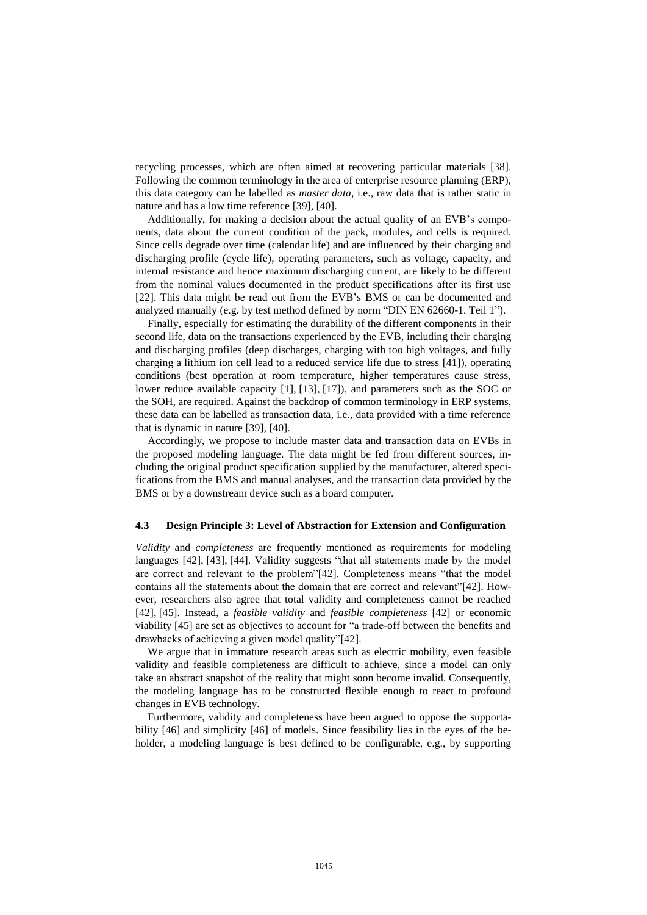recycling processes, which are often aimed at recovering particular materials [38]. Following the common terminology in the area of enterprise resource planning (ERP), this data category can be labelled as *master data*, i.e., raw data that is rather static in nature and has a low time reference [39], [40].

Additionally, for making a decision about the actual quality of an EVB's components, data about the current condition of the pack, modules, and cells is required. Since cells degrade over time (calendar life) and are influenced by their charging and discharging profile (cycle life), operating parameters, such as voltage, capacity, and internal resistance and hence maximum discharging current, are likely to be different from the nominal values documented in the product specifications after its first use [22]. This data might be read out from the EVB's BMS or can be documented and analyzed manually (e.g. by test method defined by norm "DIN EN 62660-1. Teil 1").

Finally, especially for estimating the durability of the different components in their second life, data on the transactions experienced by the EVB, including their charging and discharging profiles (deep discharges, charging with too high voltages, and fully charging a lithium ion cell lead to a reduced service life due to stress [41]), operating conditions (best operation at room temperature, higher temperatures cause stress, lower reduce available capacity [1], [13], [17]), and parameters such as the SOC or the SOH, are required. Against the backdrop of common terminology in ERP systems, these data can be labelled as transaction data, i.e., data provided with a time reference that is dynamic in nature [39], [40].

Accordingly, we propose to include master data and transaction data on EVBs in the proposed modeling language. The data might be fed from different sources, including the original product specification supplied by the manufacturer, altered specifications from the BMS and manual analyses, and the transaction data provided by the BMS or by a downstream device such as a board computer.

#### **4.3 Design Principle 3: Level of Abstraction for Extension and Configuration**

*Validity* and *completeness* are frequently mentioned as requirements for modeling languages [42], [43], [44]. Validity suggests "that all statements made by the model are correct and relevant to the problem"[42]. Completeness means "that the model contains all the statements about the domain that are correct and relevant"[42]. However, researchers also agree that total validity and completeness cannot be reached [42], [45]. Instead, a *feasible validity* and *feasible completeness* [42] or economic viability [45] are set as objectives to account for "a trade-off between the benefits and drawbacks of achieving a given model quality"[42].

We argue that in immature research areas such as electric mobility, even feasible validity and feasible completeness are difficult to achieve, since a model can only take an abstract snapshot of the reality that might soon become invalid. Consequently, the modeling language has to be constructed flexible enough to react to profound changes in EVB technology.

Furthermore, validity and completeness have been argued to oppose the supportability [46] and simplicity [46] of models. Since feasibility lies in the eyes of the beholder, a modeling language is best defined to be configurable, e.g., by supporting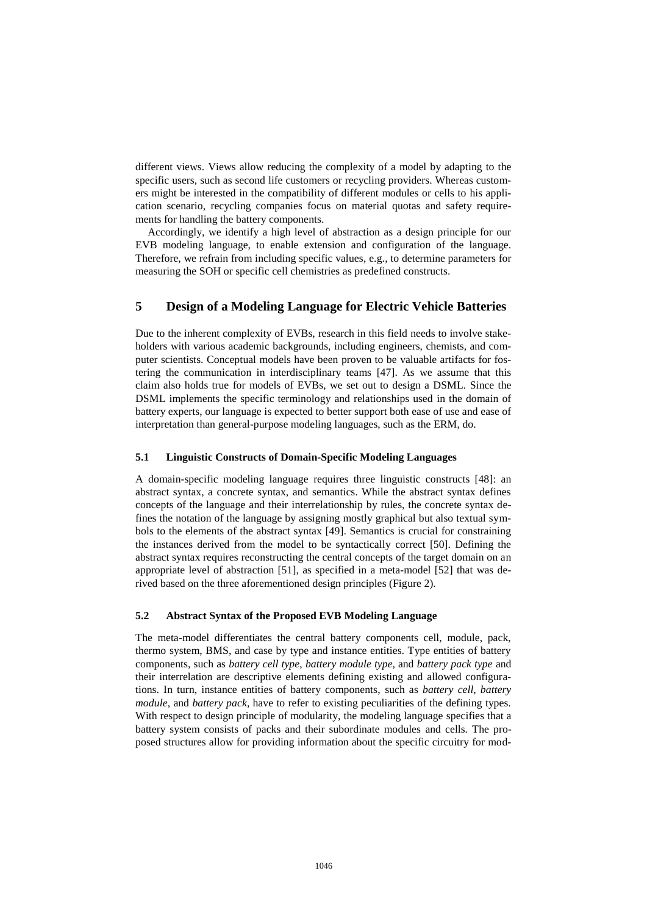different views. Views allow reducing the complexity of a model by adapting to the specific users, such as second life customers or recycling providers. Whereas customers might be interested in the compatibility of different modules or cells to his application scenario, recycling companies focus on material quotas and safety requirements for handling the battery components.

Accordingly, we identify a high level of abstraction as a design principle for our EVB modeling language, to enable extension and configuration of the language. Therefore, we refrain from including specific values, e.g., to determine parameters for measuring the SOH or specific cell chemistries as predefined constructs.

# **5 Design of a Modeling Language for Electric Vehicle Batteries**

Due to the inherent complexity of EVBs, research in this field needs to involve stakeholders with various academic backgrounds, including engineers, chemists, and computer scientists. Conceptual models have been proven to be valuable artifacts for fostering the communication in interdisciplinary teams [47]. As we assume that this claim also holds true for models of EVBs, we set out to design a DSML. Since the DSML implements the specific terminology and relationships used in the domain of battery experts, our language is expected to better support both ease of use and ease of interpretation than general-purpose modeling languages, such as the ERM, do.

#### **5.1 Linguistic Constructs of Domain-Specific Modeling Languages**

A domain-specific modeling language requires three linguistic constructs [48]: an abstract syntax, a concrete syntax, and semantics. While the abstract syntax defines concepts of the language and their interrelationship by rules, the concrete syntax defines the notation of the language by assigning mostly graphical but also textual symbols to the elements of the abstract syntax [49]. Semantics is crucial for constraining the instances derived from the model to be syntactically correct [50]. Defining the abstract syntax requires reconstructing the central concepts of the target domain on an appropriate level of abstraction [51], as specified in a meta-model [52] that was derived based on the three aforementioned design principles (Figure 2).

#### **5.2 Abstract Syntax of the Proposed EVB Modeling Language**

The meta-model differentiates the central battery components cell, module, pack, thermo system, BMS, and case by type and instance entities. Type entities of battery components, such as *battery cell type*, *battery module type*, and *battery pack type* and their interrelation are descriptive elements defining existing and allowed configurations. In turn, instance entities of battery components, such as *battery cell*, *battery module*, and *battery pack*, have to refer to existing peculiarities of the defining types. With respect to design principle of modularity, the modeling language specifies that a battery system consists of packs and their subordinate modules and cells. The proposed structures allow for providing information about the specific circuitry for mod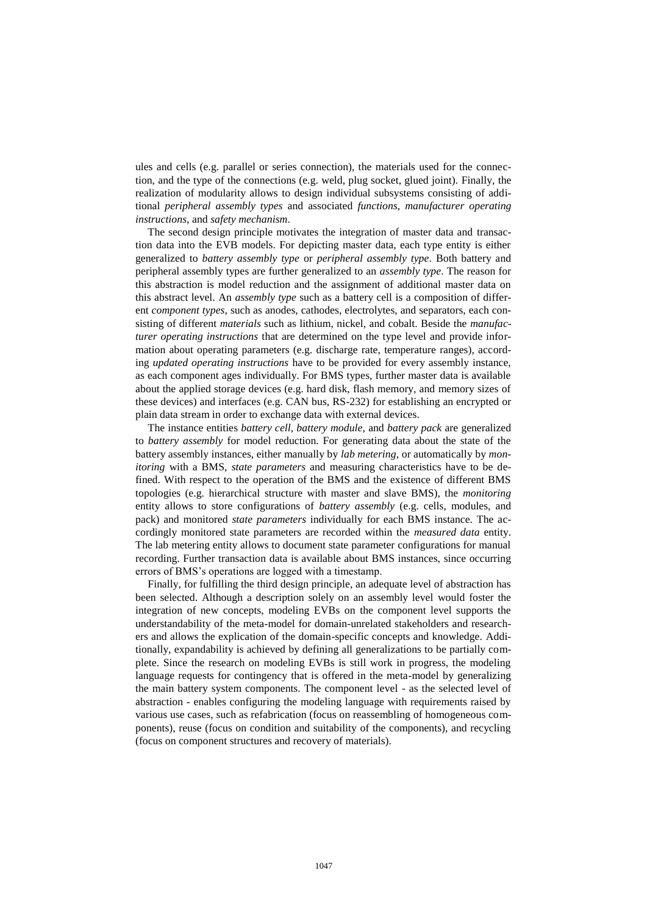ules and cells (e.g. parallel or series connection), the materials used for the connection, and the type of the connections (e.g. weld, plug socket, glued joint). Finally, the realization of modularity allows to design individual subsystems consisting of additional *peripheral assembly types* and associated *functions*, *manufacturer operating instructions*, and *safety mechanism*.

The second design principle motivates the integration of master data and transaction data into the EVB models. For depicting master data, each type entity is either generalized to *battery assembly type* or *peripheral assembly type*. Both battery and peripheral assembly types are further generalized to an *assembly type*. The reason for this abstraction is model reduction and the assignment of additional master data on this abstract level. An *assembly type* such as a battery cell is a composition of different *component types*, such as anodes, cathodes, electrolytes, and separators, each consisting of different *materials* such as lithium, nickel, and cobalt. Beside the *manufacturer operating instructions* that are determined on the type level and provide information about operating parameters (e.g. discharge rate, temperature ranges), according *updated operating instructions* have to be provided for every assembly instance, as each component ages individually. For BMS types, further master data is available about the applied storage devices (e.g. hard disk, flash memory, and memory sizes of these devices) and interfaces (e.g. CAN bus, RS-232) for establishing an encrypted or plain data stream in order to exchange data with external devices.

The instance entities *battery cell*, *battery module*, and *battery pack* are generalized to *battery assembly* for model reduction. For generating data about the state of the battery assembly instances, either manually by *lab metering*, or automatically by *monitoring* with a BMS, *state parameters* and measuring characteristics have to be defined. With respect to the operation of the BMS and the existence of different BMS topologies (e.g. hierarchical structure with master and slave BMS), the *monitoring* entity allows to store configurations of *battery assembly* (e.g. cells, modules, and pack) and monitored *state parameters* individually for each BMS instance. The accordingly monitored state parameters are recorded within the *measured data* entity. The lab metering entity allows to document state parameter configurations for manual recording. Further transaction data is available about BMS instances, since occurring errors of BMS's operations are logged with a timestamp.

Finally, for fulfilling the third design principle, an adequate level of abstraction has been selected. Although a description solely on an assembly level would foster the integration of new concepts, modeling EVBs on the component level supports the understandability of the meta-model for domain-unrelated stakeholders and researchers and allows the explication of the domain-specific concepts and knowledge. Additionally, expandability is achieved by defining all generalizations to be partially complete. Since the research on modeling EVBs is still work in progress, the modeling language requests for contingency that is offered in the meta-model by generalizing the main battery system components. The component level - as the selected level of abstraction - enables configuring the modeling language with requirements raised by various use cases, such as refabrication (focus on reassembling of homogeneous components), reuse (focus on condition and suitability of the components), and recycling (focus on component structures and recovery of materials).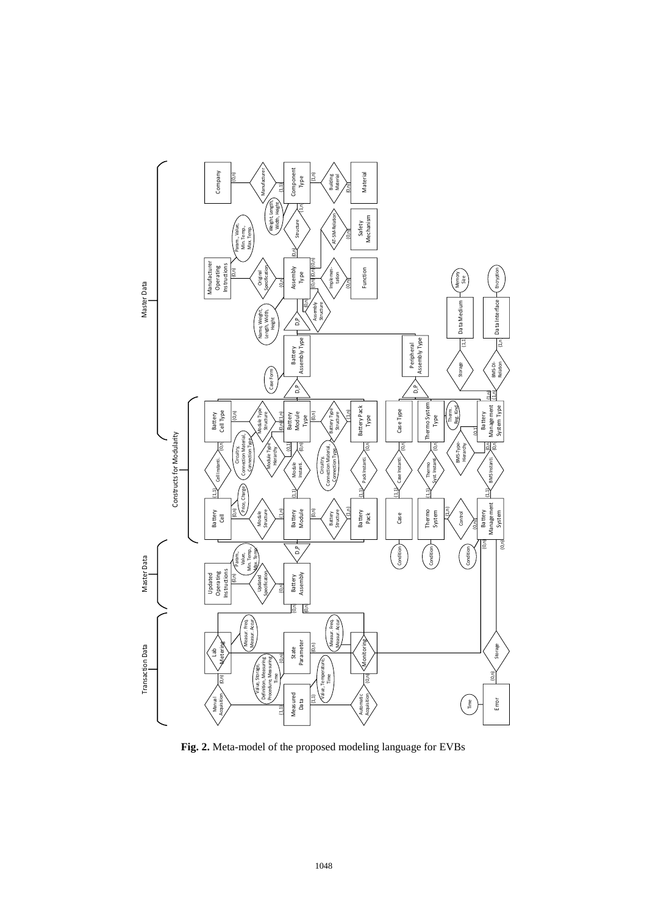

**Fig. 2.** Meta-model of the proposed modeling language for EVBs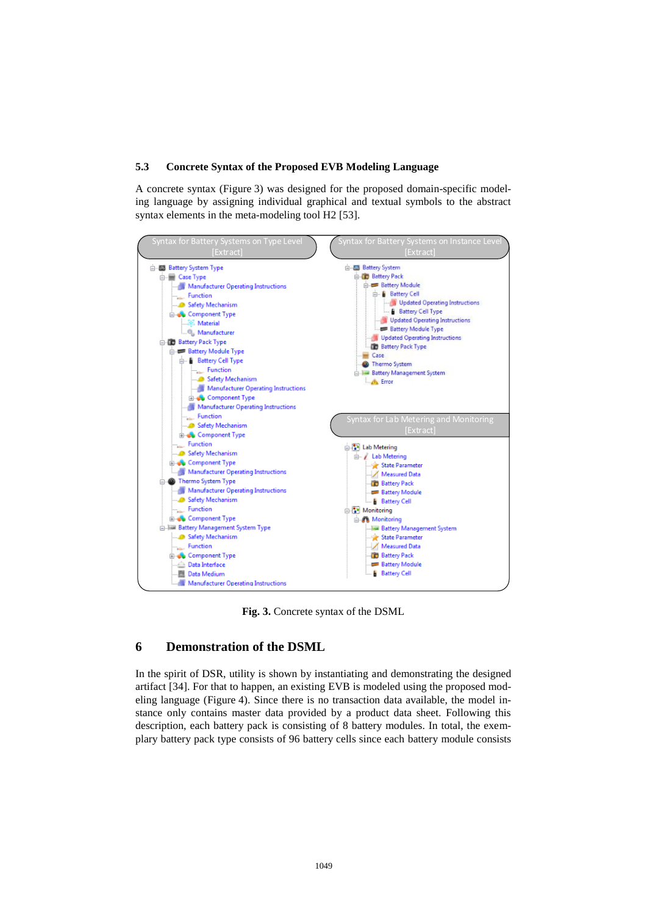#### **5.3 Concrete Syntax of the Proposed EVB Modeling Language**

A concrete syntax (Figure 3) was designed for the proposed domain-specific modeling language by assigning individual graphical and textual symbols to the abstract syntax elements in the meta-modeling tool H2 [53].



**Fig. 3.** Concrete syntax of the DSML

## **6 Demonstration of the DSML**

In the spirit of DSR, utility is shown by instantiating and demonstrating the designed artifact [34]. For that to happen, an existing EVB is modeled using the proposed modeling language (Figure 4). Since there is no transaction data available, the model instance only contains master data provided by a product data sheet. Following this description, each battery pack is consisting of 8 battery modules. In total, the exemplary battery pack type consists of 96 battery cells since each battery module consists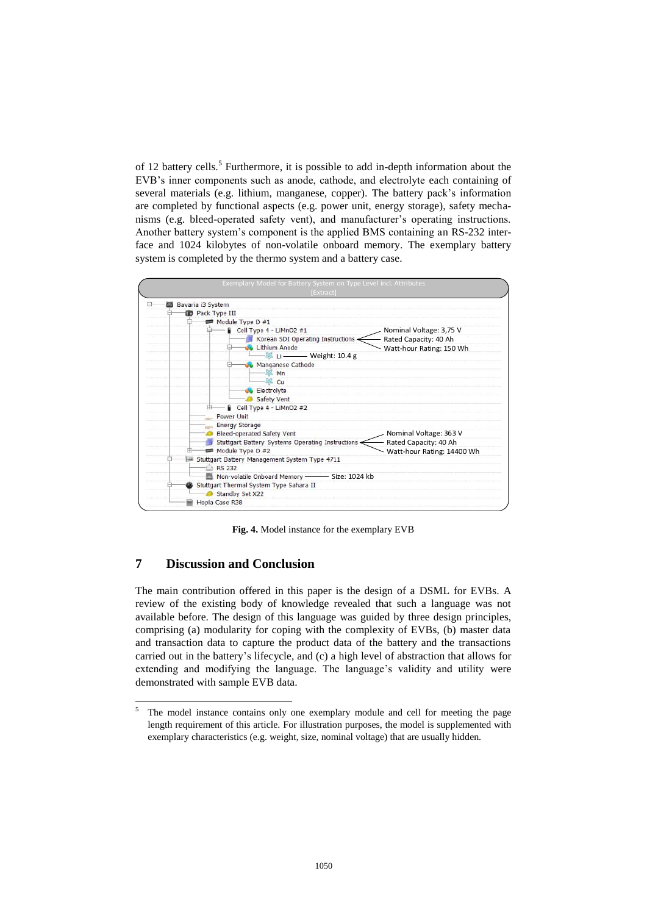of 12 battery cells.<sup>5</sup> Furthermore, it is possible to add in-depth information about the EVB's inner components such as anode, cathode, and electrolyte each containing of several materials (e.g. lithium, manganese, copper). The battery pack's information are completed by functional aspects (e.g. power unit, energy storage), safety mechanisms (e.g. bleed-operated safety vent), and manufacturer's operating instructions. Another battery system's component is the applied BMS containing an RS-232 interface and 1024 kilobytes of non-volatile onboard memory. The exemplary battery



**Fig. 4.** Model instance for the exemplary EVB

# **7 Discussion and Conclusion**

 $\overline{\phantom{a}}$ 

The main contribution offered in this paper is the design of a DSML for EVBs. A review of the existing body of knowledge revealed that such a language was not available before. The design of this language was guided by three design principles, comprising (a) modularity for coping with the complexity of EVBs, (b) master data and transaction data to capture the product data of the battery and the transactions carried out in the battery's lifecycle, and (c) a high level of abstraction that allows for extending and modifying the language. The language's validity and utility were demonstrated with sample EVB data.

<sup>&</sup>lt;sup>5</sup> The model instance contains only one exemplary module and cell for meeting the page length requirement of this article. For illustration purposes, the model is supplemented with exemplary characteristics (e.g. weight, size, nominal voltage) that are usually hidden.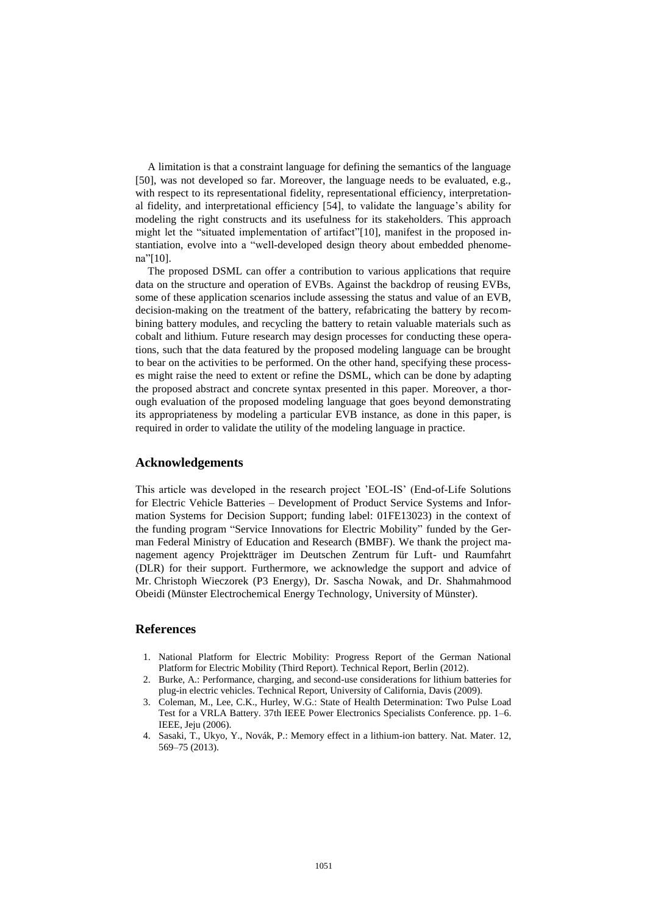A limitation is that a constraint language for defining the semantics of the language [50], was not developed so far. Moreover, the language needs to be evaluated, e.g., with respect to its representational fidelity, representational efficiency, interpretational fidelity, and interpretational efficiency [54], to validate the language's ability for modeling the right constructs and its usefulness for its stakeholders. This approach might let the "situated implementation of artifact"[10], manifest in the proposed instantiation, evolve into a "well-developed design theory about embedded phenomena"[10].

The proposed DSML can offer a contribution to various applications that require data on the structure and operation of EVBs. Against the backdrop of reusing EVBs, some of these application scenarios include assessing the status and value of an EVB, decision-making on the treatment of the battery, refabricating the battery by recombining battery modules, and recycling the battery to retain valuable materials such as cobalt and lithium. Future research may design processes for conducting these operations, such that the data featured by the proposed modeling language can be brought to bear on the activities to be performed. On the other hand, specifying these processes might raise the need to extent or refine the DSML, which can be done by adapting the proposed abstract and concrete syntax presented in this paper. Moreover, a thorough evaluation of the proposed modeling language that goes beyond demonstrating its appropriateness by modeling a particular EVB instance, as done in this paper, is required in order to validate the utility of the modeling language in practice.

# **Acknowledgements**

This article was developed in the research project 'EOL-IS' (End-of-Life Solutions for Electric Vehicle Batteries – Development of Product Service Systems and Information Systems for Decision Support; funding label: 01FE13023) in the context of the funding program "Service Innovations for Electric Mobility" funded by the German Federal Ministry of Education and Research (BMBF). We thank the project management agency Projektträger im Deutschen Zentrum für Luft- und Raumfahrt (DLR) for their support. Furthermore, we acknowledge the support and advice of Mr. Christoph Wieczorek (P3 Energy), Dr. Sascha Nowak, and Dr. Shahmahmood Obeidi (Münster Electrochemical Energy Technology, University of Münster).

# **References**

- 1. National Platform for Electric Mobility: Progress Report of the German National Platform for Electric Mobility (Third Report). Technical Report, Berlin (2012).
- 2. Burke, A.: Performance, charging, and second-use considerations for lithium batteries for plug-in electric vehicles. Technical Report, University of California, Davis (2009).
- 3. Coleman, M., Lee, C.K., Hurley, W.G.: State of Health Determination: Two Pulse Load Test for a VRLA Battery. 37th IEEE Power Electronics Specialists Conference. pp. 1–6. IEEE, Jeju (2006).
- 4. Sasaki, T., Ukyo, Y., Novák, P.: Memory effect in a lithium-ion battery. Nat. Mater. 12, 569–75 (2013).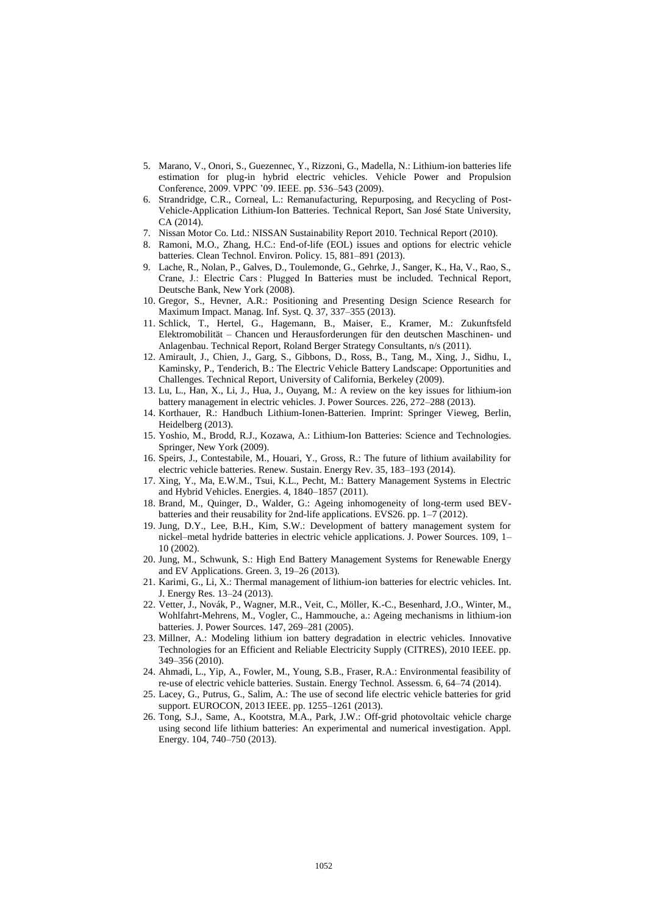- 5. Marano, V., Onori, S., Guezennec, Y., Rizzoni, G., Madella, N.: Lithium-ion batteries life estimation for plug-in hybrid electric vehicles. Vehicle Power and Propulsion Conference, 2009. VPPC '09. IEEE. pp. 536–543 (2009).
- 6. Strandridge, C.R., Corneal, L.: Remanufacturing, Repurposing, and Recycling of Post-Vehicle-Application Lithium-Ion Batteries. Technical Report, San José State University, CA (2014).
- 7. Nissan Motor Co. Ltd.: NISSAN Sustainability Report 2010. Technical Report (2010).
- 8. Ramoni, M.O., Zhang, H.C.: End-of-life (EOL) issues and options for electric vehicle batteries. Clean Technol. Environ. Policy. 15, 881–891 (2013).
- 9. Lache, R., Nolan, P., Galves, D., Toulemonde, G., Gehrke, J., Sanger, K., Ha, V., Rao, S., Crane, J.: Electric Cars : Plugged In Batteries must be included. Technical Report, Deutsche Bank, New York (2008).
- 10. Gregor, S., Hevner, A.R.: Positioning and Presenting Design Science Research for Maximum Impact. Manag. Inf. Syst. Q. 37, 337–355 (2013).
- 11. Schlick, T., Hertel, G., Hagemann, B., Maiser, E., Kramer, M.: Zukunftsfeld Elektromobilität – Chancen und Herausforderungen für den deutschen Maschinen- und Anlagenbau. Technical Report, Roland Berger Strategy Consultants, n/s (2011).
- 12. Amirault, J., Chien, J., Garg, S., Gibbons, D., Ross, B., Tang, M., Xing, J., Sidhu, I., Kaminsky, P., Tenderich, B.: The Electric Vehicle Battery Landscape: Opportunities and Challenges. Technical Report, University of California, Berkeley (2009).
- 13. Lu, L., Han, X., Li, J., Hua, J., Ouyang, M.: A review on the key issues for lithium-ion battery management in electric vehicles. J. Power Sources. 226, 272–288 (2013).
- 14. Korthauer, R.: Handbuch Lithium-Ionen-Batterien. Imprint: Springer Vieweg, Berlin, Heidelberg (2013).
- 15. Yoshio, M., Brodd, R.J., Kozawa, A.: Lithium-Ion Batteries: Science and Technologies. Springer, New York (2009).
- 16. Speirs, J., Contestabile, M., Houari, Y., Gross, R.: The future of lithium availability for electric vehicle batteries. Renew. Sustain. Energy Rev. 35, 183–193 (2014).
- 17. Xing, Y., Ma, E.W.M., Tsui, K.L., Pecht, M.: Battery Management Systems in Electric and Hybrid Vehicles. Energies. 4, 1840–1857 (2011).
- 18. Brand, M., Quinger, D., Walder, G.: Ageing inhomogeneity of long-term used BEVbatteries and their reusability for 2nd-life applications. EVS26. pp. 1–7 (2012).
- 19. Jung, D.Y., Lee, B.H., Kim, S.W.: Development of battery management system for nickel–metal hydride batteries in electric vehicle applications. J. Power Sources. 109, 1– 10 (2002).
- 20. Jung, M., Schwunk, S.: High End Battery Management Systems for Renewable Energy and EV Applications. Green. 3, 19–26 (2013).
- 21. Karimi, G., Li, X.: Thermal management of lithium-ion batteries for electric vehicles. Int. J. Energy Res. 13–24 (2013).
- 22. Vetter, J., Novák, P., Wagner, M.R., Veit, C., Möller, K.-C., Besenhard, J.O., Winter, M., Wohlfahrt-Mehrens, M., Vogler, C., Hammouche, a.: Ageing mechanisms in lithium-ion batteries. J. Power Sources. 147, 269–281 (2005).
- 23. Millner, A.: Modeling lithium ion battery degradation in electric vehicles. Innovative Technologies for an Efficient and Reliable Electricity Supply (CITRES), 2010 IEEE. pp. 349–356 (2010).
- 24. Ahmadi, L., Yip, A., Fowler, M., Young, S.B., Fraser, R.A.: Environmental feasibility of re-use of electric vehicle batteries. Sustain. Energy Technol. Assessm. 6, 64–74 (2014).
- 25. Lacey, G., Putrus, G., Salim, A.: The use of second life electric vehicle batteries for grid support. EUROCON, 2013 IEEE. pp. 1255–1261 (2013).
- 26. Tong, S.J., Same, A., Kootstra, M.A., Park, J.W.: Off-grid photovoltaic vehicle charge using second life lithium batteries: An experimental and numerical investigation. Appl. Energy. 104, 740–750 (2013).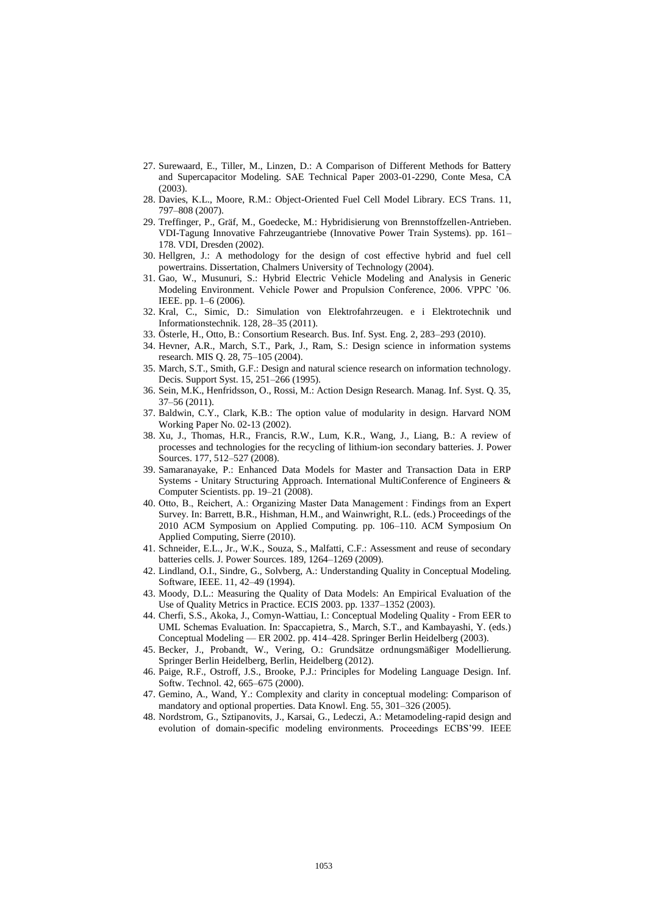- 27. Surewaard, E., Tiller, M., Linzen, D.: A Comparison of Different Methods for Battery and Supercapacitor Modeling. SAE Technical Paper 2003-01-2290, Conte Mesa, CA (2003).
- 28. Davies, K.L., Moore, R.M.: Object-Oriented Fuel Cell Model Library. ECS Trans. 11, 797–808 (2007).
- 29. Treffinger, P., Gräf, M., Goedecke, M.: Hybridisierung von Brennstoffzellen-Antrieben. VDI-Tagung Innovative Fahrzeugantriebe (Innovative Power Train Systems). pp. 161– 178. VDI, Dresden (2002).
- 30. Hellgren, J.: A methodology for the design of cost effective hybrid and fuel cell powertrains. Dissertation, Chalmers University of Technology (2004).
- 31. Gao, W., Musunuri, S.: Hybrid Electric Vehicle Modeling and Analysis in Generic Modeling Environment. Vehicle Power and Propulsion Conference, 2006. VPPC '06. IEEE. pp. 1–6 (2006).
- 32. Kral, C., Simic, D.: Simulation von Elektrofahrzeugen. e i Elektrotechnik und Informationstechnik. 128, 28–35 (2011).
- 33. Österle, H., Otto, B.: Consortium Research. Bus. Inf. Syst. Eng. 2, 283–293 (2010).
- 34. Hevner, A.R., March, S.T., Park, J., Ram, S.: Design science in information systems research. MIS Q. 28, 75–105 (2004).
- 35. March, S.T., Smith, G.F.: Design and natural science research on information technology. Decis. Support Syst. 15, 251–266 (1995).
- 36. Sein, M.K., Henfridsson, O., Rossi, M.: Action Design Research. Manag. Inf. Syst. Q. 35, 37–56 (2011).
- 37. Baldwin, C.Y., Clark, K.B.: The option value of modularity in design. Harvard NOM Working Paper No. 02-13 (2002).
- 38. Xu, J., Thomas, H.R., Francis, R.W., Lum, K.R., Wang, J., Liang, B.: A review of processes and technologies for the recycling of lithium-ion secondary batteries. J. Power Sources. 177, 512–527 (2008).
- 39. Samaranayake, P.: Enhanced Data Models for Master and Transaction Data in ERP Systems - Unitary Structuring Approach. International MultiConference of Engineers & Computer Scientists. pp. 19–21 (2008).
- 40. Otto, B., Reichert, A.: Organizing Master Data Management : Findings from an Expert Survey. In: Barrett, B.R., Hishman, H.M., and Wainwright, R.L. (eds.) Proceedings of the 2010 ACM Symposium on Applied Computing. pp. 106–110. ACM Symposium On Applied Computing, Sierre (2010).
- 41. Schneider, E.L., Jr., W.K., Souza, S., Malfatti, C.F.: Assessment and reuse of secondary batteries cells. J. Power Sources. 189, 1264–1269 (2009).
- 42. Lindland, O.I., Sindre, G., Solvberg, A.: Understanding Quality in Conceptual Modeling. Software, IEEE. 11, 42–49 (1994).
- 43. Moody, D.L.: Measuring the Quality of Data Models: An Empirical Evaluation of the Use of Quality Metrics in Practice. ECIS 2003. pp. 1337–1352 (2003).
- 44. Cherfi, S.S., Akoka, J., Comyn-Wattiau, I.: Conceptual Modeling Quality From EER to UML Schemas Evaluation. In: Spaccapietra, S., March, S.T., and Kambayashi, Y. (eds.) Conceptual Modeling — ER 2002. pp. 414–428. Springer Berlin Heidelberg (2003).
- 45. Becker, J., Probandt, W., Vering, O.: Grundsätze ordnungsmäßiger Modellierung. Springer Berlin Heidelberg, Berlin, Heidelberg (2012).
- 46. Paige, R.F., Ostroff, J.S., Brooke, P.J.: Principles for Modeling Language Design. Inf. Softw. Technol. 42, 665–675 (2000).
- 47. Gemino, A., Wand, Y.: Complexity and clarity in conceptual modeling: Comparison of mandatory and optional properties. Data Knowl. Eng. 55, 301–326 (2005).
- 48. Nordstrom, G., Sztipanovits, J., Karsai, G., Ledeczi, A.: Metamodeling-rapid design and evolution of domain-specific modeling environments. Proceedings ECBS'99. IEEE